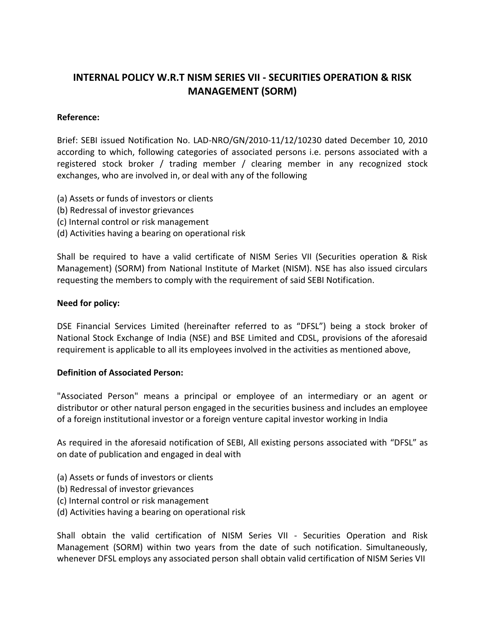# **INTERNAL POLICY W.R.T NISM SERIES VII - SECURITIES OPERATION & RISK MANAGEMENT (SORM)**

### **Reference:**

Brief: SEBI issued Notification No. LAD-NRO/GN/2010-11/12/10230 dated December 10, 2010 according to which, following categories of associated persons i.e. persons associated with a registered stock broker / trading member / clearing member in any recognized stock exchanges, who are involved in, or deal with any of the following

- (a) Assets or funds of investors or clients
- (b) Redressal of investor grievances
- (c) Internal control or risk management
- (d) Activities having a bearing on operational risk

Shall be required to have a valid certificate of NISM Series VII (Securities operation & Risk Management) (SORM) from National Institute of Market (NISM). NSE has also issued circulars requesting the members to comply with the requirement of said SEBI Notification.

#### **Need for policy:**

DSE Financial Services Limited (hereinafter referred to as "DFSL") being a stock broker of National Stock Exchange of India (NSE) and BSE Limited and CDSL, provisions of the aforesaid requirement is applicable to all its employees involved in the activities as mentioned above,

#### **Definition of Associated Person:**

"Associated Person" means a principal or employee of an intermediary or an agent or distributor or other natural person engaged in the securities business and includes an employee of a foreign institutional investor or a foreign venture capital investor working in India

As required in the aforesaid notification of SEBI, All existing persons associated with "DFSL" as on date of publication and engaged in deal with

- (a) Assets or funds of investors or clients
- (b) Redressal of investor grievances
- (c) Internal control or risk management
- (d) Activities having a bearing on operational risk

Shall obtain the valid certification of NISM Series VII - Securities Operation and Risk Management (SORM) within two years from the date of such notification. Simultaneously, whenever DFSL employs any associated person shall obtain valid certification of NISM Series VII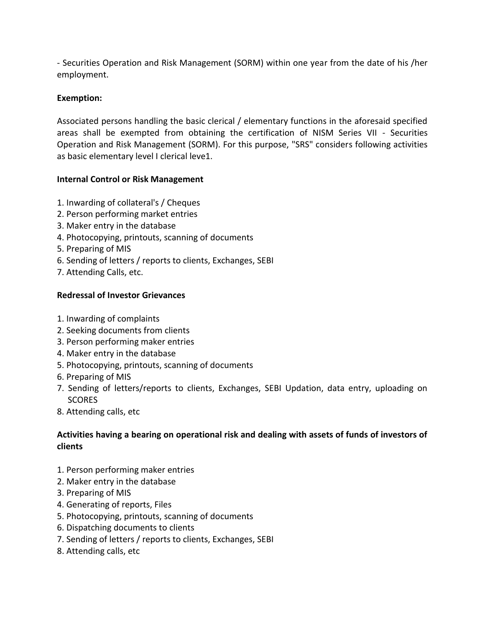- Securities Operation and Risk Management (SORM) within one year from the date of his /her employment.

# **Exemption:**

Associated persons handling the basic clerical / elementary functions in the aforesaid specified areas shall be exempted from obtaining the certification of NISM Series VII - Securities Operation and Risk Management (SORM). For this purpose, "SRS" considers following activities as basic elementary level I clerical leve1.

### **Internal Control or Risk Management**

- 1. Inwarding of collateral's / Cheques
- 2. Person performing market entries
- 3. Maker entry in the database
- 4. Photocopying, printouts, scanning of documents
- 5. Preparing of MIS
- 6. Sending of letters / reports to clients, Exchanges, SEBI
- 7. Attending Calls, etc.

### **Redressal of Investor Grievances**

- 1. Inwarding of complaints
- 2. Seeking documents from clients
- 3. Person performing maker entries
- 4. Maker entry in the database
- 5. Photocopying, printouts, scanning of documents
- 6. Preparing of MIS
- 7. Sending of letters/reports to clients, Exchanges, SEBI Updation, data entry, uploading on SCORES
- 8. Attending calls, etc

# **Activities having a bearing on operational risk and dealing with assets of funds of investors of clients**

- 1. Person performing maker entries
- 2. Maker entry in the database
- 3. Preparing of MIS
- 4. Generating of reports, Files
- 5. Photocopying, printouts, scanning of documents
- 6. Dispatching documents to clients
- 7. Sending of letters / reports to clients, Exchanges, SEBI
- 8. Attending calls, etc